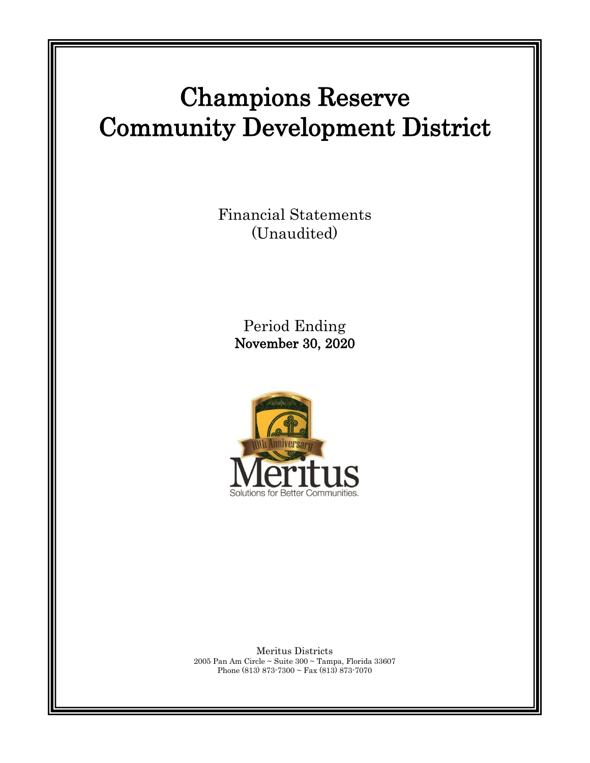# Champions Reserve Community Development District

Financial Statements (Unaudited)

> Period Ending November 30, 2020



Meritus Districts 2005 Pan Am Circle ~ Suite 300 ~ Tampa, Florida 33607 Phone (813) 873-7300 ~ Fax (813) 873-7070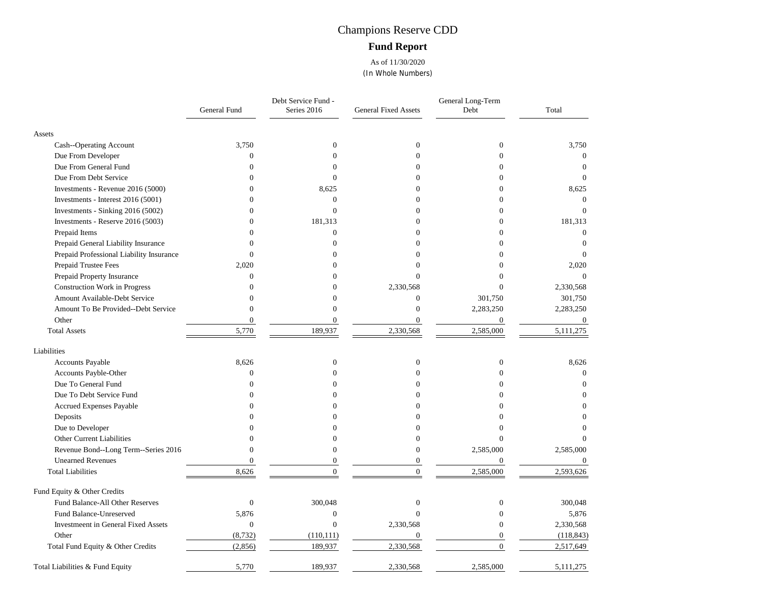## Champions Reserve CDD **Fund Report**

As of 11/30/2020 (In Whole Numbers)

|                                          | General Fund     | Debt Service Fund -<br>Series 2016 | <b>General Fixed Assets</b> | General Long-Term<br>Debt | Total            |
|------------------------------------------|------------------|------------------------------------|-----------------------------|---------------------------|------------------|
| Assets                                   |                  |                                    |                             |                           |                  |
| Cash--Operating Account                  | 3,750            | $\boldsymbol{0}$                   | $\boldsymbol{0}$            | $\boldsymbol{0}$          | 3,750            |
| Due From Developer                       | $\mathbf{0}$     | $\theta$                           | $\Omega$                    | $\Omega$                  | $\mathbf{0}$     |
| Due From General Fund                    | $\Omega$         | 0                                  | $\Omega$                    | 0                         | $\Omega$         |
| Due From Debt Service                    | $\theta$         | $\Omega$                           | $\Omega$                    | 0                         | $\Omega$         |
| Investments - Revenue 2016 (5000)        | $\Omega$         | 8,625                              | $\theta$                    | 0                         | 8,625            |
| Investments - Interest 2016 (5001)       | $\Omega$         | $\overline{0}$                     | $\Omega$                    | 0                         | $\Omega$         |
| Investments - Sinking 2016 (5002)        | $\Omega$         | $\theta$                           | $\Omega$                    | $\Omega$                  | $\Omega$         |
| Investments - Reserve 2016 (5003)        | $\Omega$         | 181,313                            | $\Omega$                    | $\theta$                  | 181,313          |
| Prepaid Items                            | $\Omega$         | $\overline{0}$                     | $\Omega$                    | $\overline{0}$            | $\overline{0}$   |
| Prepaid General Liability Insurance      | $\Omega$         | $\Omega$                           | $\Omega$                    | $\Omega$                  | $\overline{0}$   |
| Prepaid Professional Liability Insurance | $\Omega$         | $\Omega$                           | 0                           | $\Omega$                  | $\Omega$         |
| Prepaid Trustee Fees                     | 2,020            |                                    | 0                           |                           | 2,020            |
| Prepaid Property Insurance               | $\overline{0}$   |                                    | $\Omega$                    | 0                         | $\theta$         |
| Construction Work in Progress            | $\theta$         | $\Omega$                           | 2,330,568                   | $\Omega$                  | 2,330,568        |
| Amount Available-Debt Service            | $\overline{0}$   | $\Omega$                           | $\boldsymbol{0}$            | 301,750                   | 301,750          |
| Amount To Be Provided--Debt Service      | $\overline{0}$   | $\theta$                           | $\Omega$                    | 2,283,250                 | 2,283,250        |
| Other                                    | $\mathbf{0}$     | $\overline{0}$                     | $\Omega$                    | $\overline{0}$            | $\boldsymbol{0}$ |
| <b>Total Assets</b>                      | 5,770            | 189,937                            | 2,330,568                   | 2,585,000                 | 5,111,275        |
| Liabilities                              |                  |                                    |                             |                           |                  |
| <b>Accounts Payable</b>                  | 8,626            | $\boldsymbol{0}$                   | $\mathbf{0}$                | $\boldsymbol{0}$          | 8,626            |
| Accounts Payble-Other                    | $\overline{0}$   | $\Omega$                           | $\theta$                    | $\theta$                  | $\overline{0}$   |
| Due To General Fund                      | $\Omega$         | ∩                                  | $\Omega$                    | 0                         | $\Omega$         |
| Due To Debt Service Fund                 | $\Omega$         | 0                                  | $\Omega$                    | 0                         |                  |
| Accrued Expenses Payable                 | 0                |                                    | Ω                           |                           |                  |
| Deposits                                 |                  |                                    | 0                           |                           | 0                |
| Due to Developer                         |                  |                                    |                             |                           |                  |
| Other Current Liabilities                | 0                |                                    | $\Omega$                    | 0                         |                  |
| Revenue Bond--Long Term--Series 2016     | $\Omega$         | $\Omega$                           | $\Omega$                    | 2,585,000                 | 2,585,000        |
| <b>Unearned Revenues</b>                 | $\overline{0}$   | $\overline{0}$                     | $\theta$                    | $\boldsymbol{0}$          | $\mathbf{0}$     |
| <b>Total Liabilities</b>                 | 8,626            | $\theta$                           | $\theta$                    | 2,585,000                 | 2,593,626        |
| Fund Equity & Other Credits              |                  |                                    |                             |                           |                  |
| Fund Balance-All Other Reserves          | $\boldsymbol{0}$ | 300,048                            | $\mathbf{0}$                | $\boldsymbol{0}$          | 300,048          |
| Fund Balance-Unreserved                  | 5,876            | $\boldsymbol{0}$                   | $\Omega$                    | $\Omega$                  | 5,876            |
| Investmeent in General Fixed Assets      | $\overline{0}$   | $\overline{0}$                     | 2,330,568                   | $\Omega$                  | 2,330,568        |
| Other                                    | (8, 732)         | (110, 111)                         | $\theta$                    | $\overline{0}$            | (118, 843)       |
| Total Fund Equity & Other Credits        | (2,856)          | 189,937                            | 2,330,568                   | $\overline{0}$            | 2,517,649        |
| Total Liabilities & Fund Equity          | 5,770            | 189,937                            | 2,330,568                   | 2,585,000                 | 5, 111, 275      |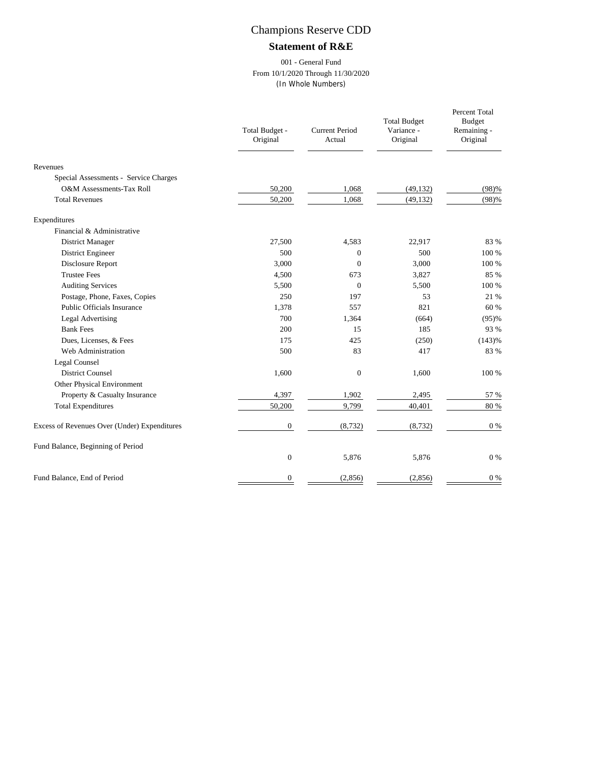#### **Statement of R&E**

#### 001 - General Fund From 10/1/2020 Through 11/30/2020 (In Whole Numbers)

|                                              | Total Budget -<br>Original | <b>Current Period</b><br>Actual | <b>Total Budget</b><br>Variance -<br>Original | Percent Total<br><b>Budget</b><br>Remaining -<br>Original |
|----------------------------------------------|----------------------------|---------------------------------|-----------------------------------------------|-----------------------------------------------------------|
| Revenues                                     |                            |                                 |                                               |                                                           |
| Special Assessments - Service Charges        |                            |                                 |                                               |                                                           |
| O&M Assessments-Tax Roll                     | 50,200                     | 1,068                           | (49, 132)                                     | (98)%                                                     |
| <b>Total Revenues</b>                        | 50,200                     | 1,068                           | (49, 132)                                     | (98)%                                                     |
| Expenditures                                 |                            |                                 |                                               |                                                           |
| Financial & Administrative                   |                            |                                 |                                               |                                                           |
| District Manager                             | 27,500                     | 4,583                           | 22,917                                        | 83 %                                                      |
| District Engineer                            | 500                        | $\mathbf{0}$                    | 500                                           | 100 %                                                     |
| Disclosure Report                            | 3,000                      | $\Omega$                        | 3,000                                         | 100 %                                                     |
| <b>Trustee Fees</b>                          | 4,500                      | 673                             | 3,827                                         | 85 %                                                      |
| <b>Auditing Services</b>                     | 5,500                      | $\mathbf{0}$                    | 5,500                                         | 100 %                                                     |
| Postage, Phone, Faxes, Copies                | 250                        | 197                             | 53                                            | 21 %                                                      |
| Public Officials Insurance                   | 1,378                      | 557                             | 821                                           | 60 %                                                      |
| <b>Legal Advertising</b>                     | 700                        | 1,364                           | (664)                                         | (95)%                                                     |
| <b>Bank Fees</b>                             | 200                        | 15                              | 185                                           | 93 %                                                      |
| Dues, Licenses, & Fees                       | 175                        | 425                             | (250)                                         | (143)%                                                    |
| Web Administration                           | 500                        | 83                              | 417                                           | 83 %                                                      |
| Legal Counsel                                |                            |                                 |                                               |                                                           |
| <b>District Counsel</b>                      | 1,600                      | $\mathbf{0}$                    | 1,600                                         | 100 %                                                     |
| Other Physical Environment                   |                            |                                 |                                               |                                                           |
| Property & Casualty Insurance                | 4,397                      | 1,902                           | 2,495                                         | 57 %                                                      |
| <b>Total Expenditures</b>                    | 50,200                     | 9,799                           | 40,401                                        | 80 %                                                      |
| Excess of Revenues Over (Under) Expenditures | $\mathbf{0}$               | (8, 732)                        | (8, 732)                                      | $0\%$                                                     |
| Fund Balance, Beginning of Period            |                            |                                 |                                               |                                                           |
|                                              | $\theta$                   | 5,876                           | 5,876                                         | $0\ \%$                                                   |
| Fund Balance, End of Period                  | $\mathbf{0}$               | (2, 856)                        | (2,856)                                       | $0\%$                                                     |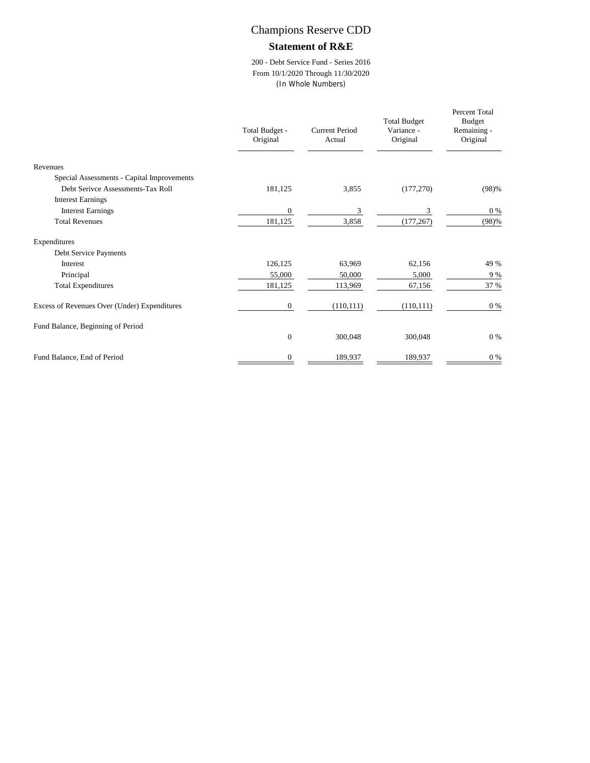#### **Statement of R&E**

200 - Debt Service Fund - Series 2016 From 10/1/2020 Through 11/30/2020 (In Whole Numbers)

|                                              | Total Budget -<br>Original | Current Period<br>Actual | <b>Total Budget</b><br>Variance -<br>Original | Percent Total<br><b>Budget</b><br>Remaining -<br>Original |
|----------------------------------------------|----------------------------|--------------------------|-----------------------------------------------|-----------------------------------------------------------|
| Revenues                                     |                            |                          |                                               |                                                           |
| Special Assessments - Capital Improvements   |                            |                          |                                               |                                                           |
| Debt Serivce Assessments-Tax Roll            | 181,125                    | 3,855                    | (177, 270)                                    | (98)%                                                     |
| <b>Interest Earnings</b>                     |                            |                          |                                               |                                                           |
| <b>Interest Earnings</b>                     | $\boldsymbol{0}$           | 3                        | 3                                             | $0\%$                                                     |
| <b>Total Revenues</b>                        | 181,125                    | 3,858                    | (177, 267)                                    | (98)%                                                     |
| Expenditures                                 |                            |                          |                                               |                                                           |
| Debt Service Payments                        |                            |                          |                                               |                                                           |
| Interest                                     | 126,125                    | 63,969                   | 62,156                                        | 49 %                                                      |
| Principal                                    | 55,000                     | 50,000                   | 5,000                                         | 9 %                                                       |
| <b>Total Expenditures</b>                    | 181,125                    | 113,969                  | 67,156                                        | 37 %                                                      |
| Excess of Revenues Over (Under) Expenditures | $\mathbf{0}$               | (110, 111)               | (110, 111)                                    | $0\%$                                                     |
| Fund Balance, Beginning of Period            |                            |                          |                                               |                                                           |
|                                              | $\mathbf{0}$               | 300,048                  | 300,048                                       | $0\%$                                                     |
| Fund Balance, End of Period                  | $\mathbf{0}$               | 189,937                  | 189,937                                       | $0\%$                                                     |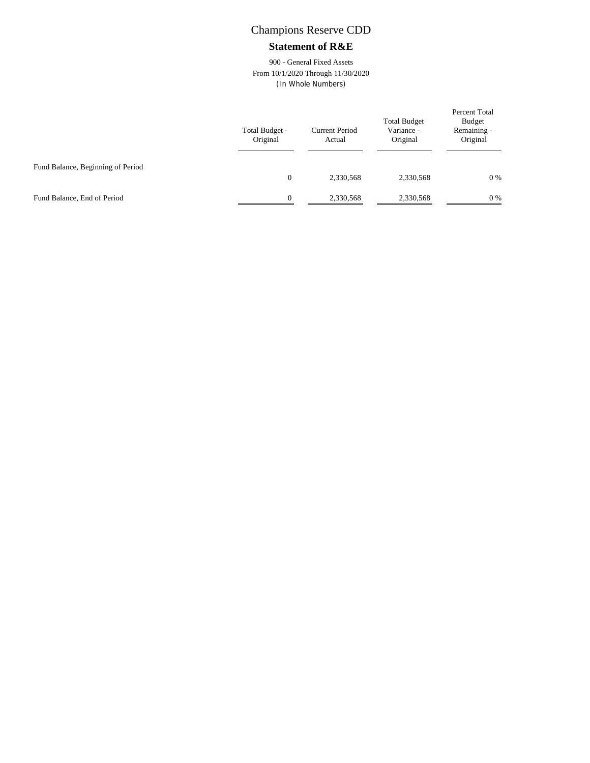#### **Statement of R&E**

900 - General Fixed Assets From 10/1/2020 Through 11/30/2020 (In Whole Numbers)

|                                   | Total Budget -<br>Original | <b>Current Period</b><br>Actual | <b>Total Budget</b><br>Variance -<br>Original | Percent Total<br>Budget<br>Remaining -<br>Original |
|-----------------------------------|----------------------------|---------------------------------|-----------------------------------------------|----------------------------------------------------|
| Fund Balance, Beginning of Period | $\overline{0}$             | 2,330,568                       | 2,330,568                                     | 0%                                                 |
| Fund Balance, End of Period       | $\Omega$                   | 2,330,568                       | 2,330,568                                     | 0%                                                 |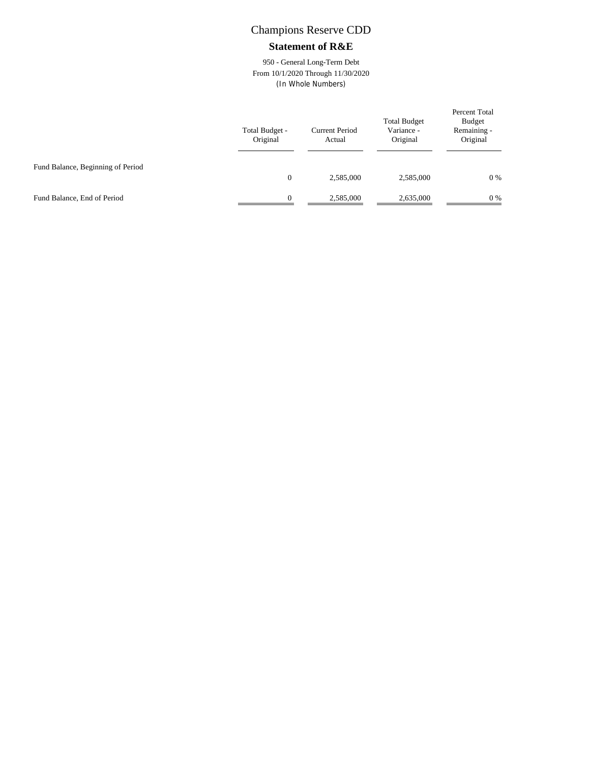#### **Statement of R&E**

950 - General Long-Term Debt From 10/1/2020 Through 11/30/2020 (In Whole Numbers)

|                                   | Total Budget -<br>Original | <b>Current Period</b><br>Actual | <b>Total Budget</b><br>Variance -<br>Original | Percent Total<br>Budget<br>Remaining -<br>Original |
|-----------------------------------|----------------------------|---------------------------------|-----------------------------------------------|----------------------------------------------------|
| Fund Balance, Beginning of Period | $\mathbf{0}$               | 2,585,000                       | 2,585,000                                     | 0%                                                 |
| Fund Balance, End of Period       | $\Omega$                   | 2,585,000                       | 2,635,000                                     | 0%                                                 |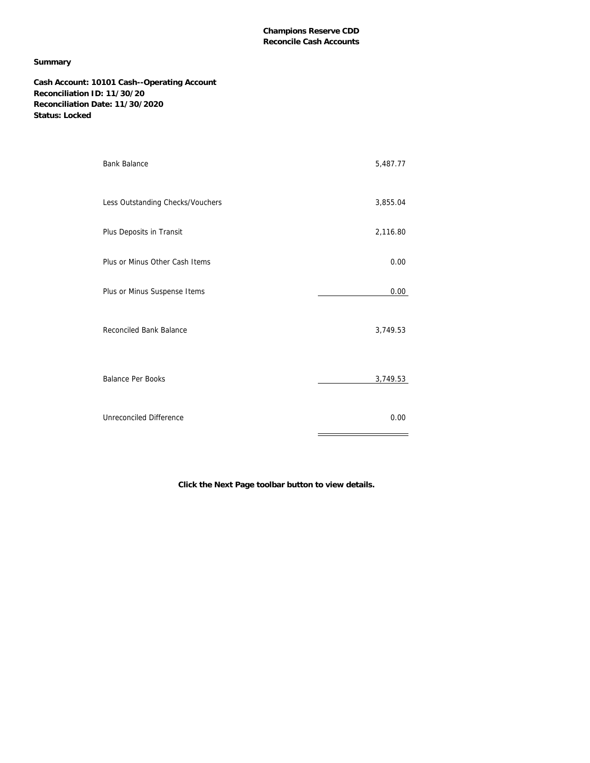#### **Summary**

**Cash Account: 10101 Cash--Operating Account Reconciliation ID: 11/30/20 Reconciliation Date: 11/30/2020 Status: Locked**

| <b>Bank Balance</b>              | 5,487.77 |
|----------------------------------|----------|
| Less Outstanding Checks/Vouchers | 3,855.04 |
| Plus Deposits in Transit         | 2,116.80 |
| Plus or Minus Other Cash Items   | 0.00     |
| Plus or Minus Suspense Items     | 0.00     |
| Reconciled Bank Balance          | 3,749.53 |
| <b>Balance Per Books</b>         | 3,749.53 |
| Unreconciled Difference          | 0.00     |

**Click the Next Page toolbar button to view details.**

÷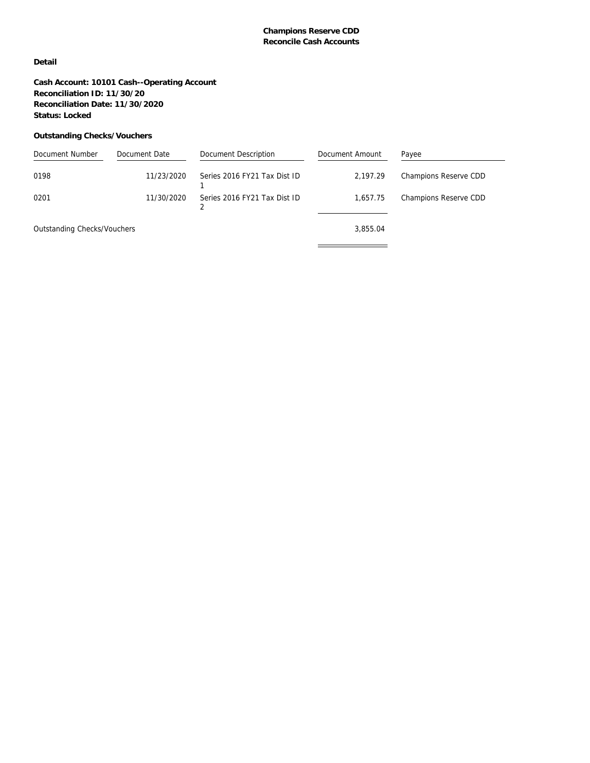#### **Detail**

**Cash Account: 10101 Cash--Operating Account Reconciliation ID: 11/30/20 Reconciliation Date: 11/30/2020 Status: Locked**

#### **Outstanding Checks/Vouchers**

| Document Number             | Document Date | Document Description         | Document Amount | Payee                 |
|-----------------------------|---------------|------------------------------|-----------------|-----------------------|
| 0198                        | 11/23/2020    | Series 2016 FY21 Tax Dist ID | 2.197.29        | Champions Reserve CDD |
| 0201                        | 11/30/2020    | Series 2016 FY21 Tax Dist ID | 1.657.75        | Champions Reserve CDD |
| Outstanding Checks/Vouchers |               |                              | 3.855.04        |                       |
|                             |               |                              |                 |                       |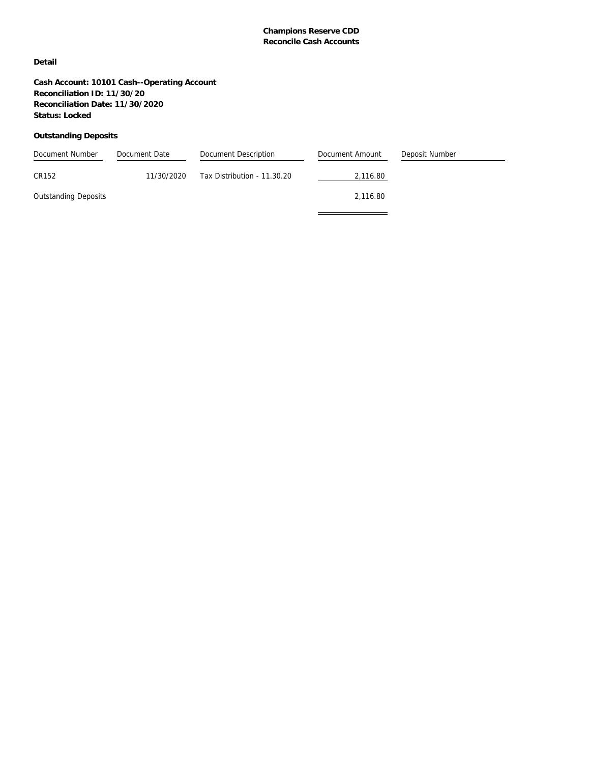#### **Detail**

**Cash Account: 10101 Cash--Operating Account Reconciliation ID: 11/30/20 Reconciliation Date: 11/30/2020 Status: Locked**

#### **Outstanding Deposits**

| Document Number             | Document Date | Document Description        | Document Amount | Deposit Number |
|-----------------------------|---------------|-----------------------------|-----------------|----------------|
| CR152                       | 11/30/2020    | Tax Distribution - 11.30.20 | 2,116.80        |                |
| <b>Outstanding Deposits</b> |               |                             | 2.116.80        |                |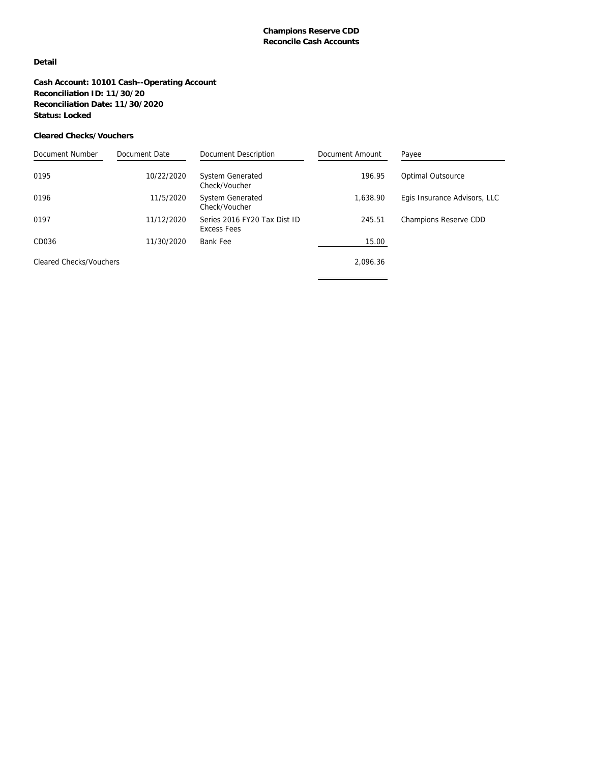#### **Detail**

**Cash Account: 10101 Cash--Operating Account Reconciliation ID: 11/30/20 Reconciliation Date: 11/30/2020 Status: Locked**

#### **Cleared Checks/Vouchers**

| Document Number                | Document Date | Document Description                        | Document Amount | Payee                        |
|--------------------------------|---------------|---------------------------------------------|-----------------|------------------------------|
| 0195                           | 10/22/2020    | <b>System Generated</b><br>Check/Voucher    | 196.95          | Optimal Outsource            |
| 0196                           | 11/5/2020     | <b>System Generated</b><br>Check/Voucher    | 1.638.90        | Egis Insurance Advisors, LLC |
| 0197                           | 11/12/2020    | Series 2016 FY20 Tax Dist ID<br>Excess Fees | 245.51          | Champions Reserve CDD        |
| CD036                          | 11/30/2020    | Bank Fee                                    | 15.00           |                              |
| <b>Cleared Checks/Vouchers</b> |               |                                             | 2,096.36        |                              |
|                                |               |                                             |                 |                              |